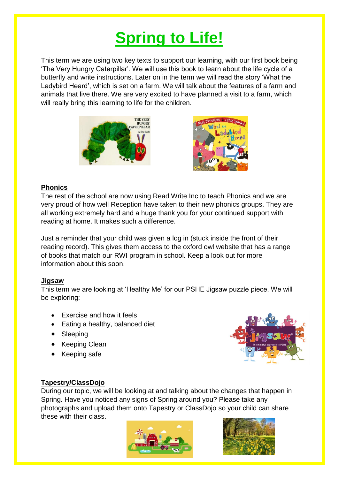# **Spring to Life!**

This term we are using two key texts to support our learning, with our first book being 'The Very Hungry Caterpillar'. We will use this book to learn about the life cycle of a butterfly and write instructions. Later on in the term we will read the story 'What the Ladybird Heard', which is set on a farm. We will talk about the features of a farm and animals that live there. We are very excited to have planned a visit to a farm, which will really bring this learning to life for the children.





## **Phonics**

The rest of the school are now using Read Write Inc to teach Phonics and we are very proud of how well Reception have taken to their new phonics groups. They are all working extremely hard and a huge thank you for your continued support with reading at home. It makes such a difference.

Just a reminder that your child was given a log in (stuck inside the front of their reading record). This gives them access to the oxford owl website that has a range of books that match our RWI program in school. Keep a look out for more information about this soon.

## **Jigsaw**

This term we are looking at 'Healthy Me' for our PSHE Jigsaw puzzle piece. We will be exploring:

- Exercise and how it feels
- Eating a healthy, balanced diet
- Sleeping
- Keeping Clean
- Keeping safe



## **Tapestry/ClassDojo**

During our topic, we will be looking at and talking about the changes that happen in Spring. Have you noticed any signs of Spring around you? Please take any photographs and upload them onto Tapestry or ClassDojo so your child can share these with their class.